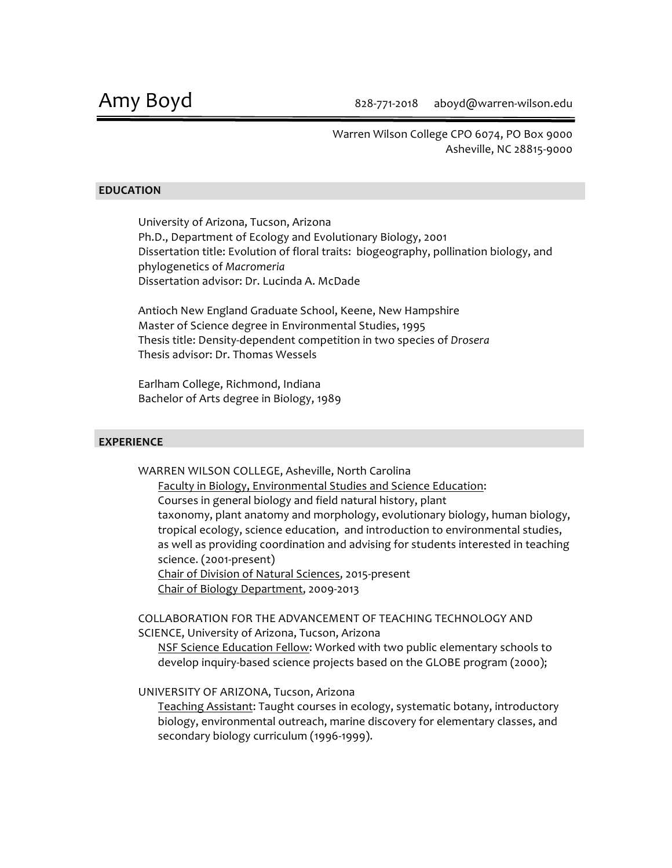Warren Wilson College CPO 6074, PO Box 9000 Asheville, NC 28815-9000

#### **EDUCATION**

University of Arizona, Tucson, Arizona Ph.D., Department of Ecology and Evolutionary Biology, 2001 Dissertation title: Evolution of floral traits: biogeography, pollination biology, and phylogenetics of *Macromeria*  Dissertation advisor: Dr. Lucinda A. McDade

Antioch New England Graduate School, Keene, New Hampshire Master of Science degree in Environmental Studies, 1995 Thesis title: Density-dependent competition in two species of *Drosera* Thesis advisor: Dr. Thomas Wessels

Earlham College, Richmond, Indiana Bachelor of Arts degree in Biology, 1989

#### **EXPERIENCE**

WARREN WILSON COLLEGE, Asheville, North Carolina

Faculty in Biology, Environmental Studies and Science Education: Courses in general biology and field natural history, plant taxonomy, plant anatomy and morphology, evolutionary biology, human biology, tropical ecology, science education, and introduction to environmental studies, as well as providing coordination and advising for students interested in teaching science. (2001-present) Chair of Division of Natural Sciences, 2015-present

Chair of Biology Department, 2009-2013

COLLABORATION FOR THE ADVANCEMENT OF TEACHING TECHNOLOGY AND SCIENCE, University of Arizona, Tucson, Arizona

NSF Science Education Fellow: Worked with two public elementary schools to develop inquiry-based science projects based on the GLOBE program (2000);

UNIVERSITY OF ARIZONA, Tucson, Arizona

Teaching Assistant: Taught courses in ecology, systematic botany, introductory biology, environmental outreach, marine discovery for elementary classes, and secondary biology curriculum (1996-1999).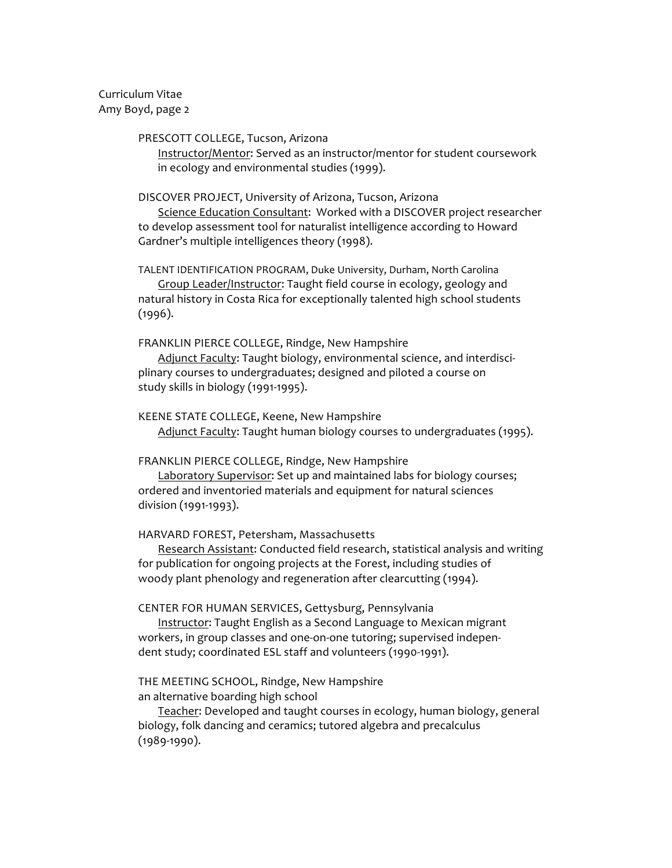Curriculum Vitae Amy Boyd, page 2

#### PRESCOTT COLLEGE, Tucson, Arizona

Instructor/Mentor: Served as an instructor/mentor for student coursework in ecology and environmental studies (1999).

#### DISCOVER PROJECT, University of Arizona, Tucson, Arizona

Science Education Consultant: Worked with a DISCOVER project researcher to develop assessment tool for naturalist intelligence according to Howard Gardner's multiple intelligences theory (1998).

TALENT IDENTIFICATION PROGRAM, Duke University, Durham, North Carolina Group Leader/Instructor: Taught field course in ecology, geology and natural history in Costa Rica for exceptionally talented high school students (1996).

FRANKLIN PIERCE COLLEGE, Rindge, New Hampshire

Adjunct Faculty: Taught biology, environmental science, and interdisciplinary courses to undergraduates; designed and piloted a course on study skills in biology (1991-1995).

KEENE STATE COLLEGE, Keene, New Hampshire Adjunct Faculty: Taught human biology courses to undergraduates (1995).

#### FRANKLIN PIERCE COLLEGE, Rindge, New Hampshire

Laboratory Supervisor: Set up and maintained labs for biology courses; ordered and inventoried materials and equipment for natural sciences division (1991-1993).

#### HARVARD FOREST, Petersham, Massachusetts

Research Assistant: Conducted field research, statistical analysis and writing for publication for ongoing projects at the Forest, including studies of woody plant phenology and regeneration after clearcutting (1994).

#### CENTER FOR HUMAN SERVICES, Gettysburg, Pennsylvania

Instructor: Taught English as a Second Language to Mexican migrant workers, in group classes and one-on-one tutoring; supervised independent study; coordinated ESL staff and volunteers (1990-1991).

## THE MEETING SCHOOL, Rindge, New Hampshire an alternative boarding high school

Teacher: Developed and taught courses in ecology, human biology, general biology, folk dancing and ceramics; tutored algebra and precalculus (1989-1990).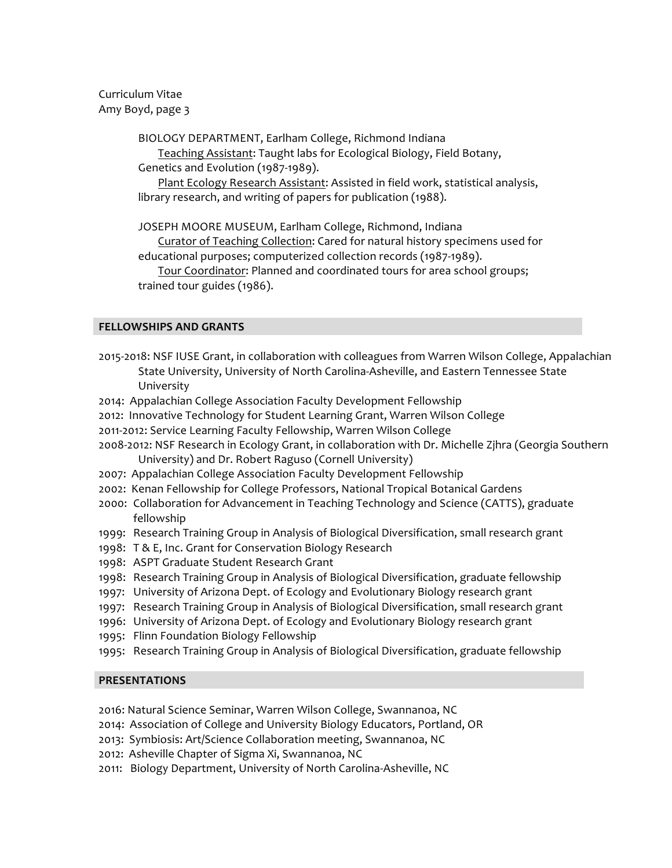Curriculum Vitae Amy Boyd, page 3

BIOLOGY DEPARTMENT, Earlham College, Richmond Indiana

Teaching Assistant: Taught labs for Ecological Biology, Field Botany, Genetics and Evolution (1987-1989).

Plant Ecology Research Assistant: Assisted in field work, statistical analysis, library research, and writing of papers for publication (1988).

JOSEPH MOORE MUSEUM, Earlham College, Richmond, Indiana

Curator of Teaching Collection: Cared for natural history specimens used for educational purposes; computerized collection records (1987-1989).

Tour Coordinator: Planned and coordinated tours for area school groups; trained tour guides (1986).

## **FELLOWSHIPS AND GRANTS**

- 2015-2018: NSF IUSE Grant, in collaboration with colleagues from Warren Wilson College, Appalachian State University, University of North Carolina-Asheville, and Eastern Tennessee State University
- 2014: Appalachian College Association Faculty Development Fellowship
- 2012: Innovative Technology for Student Learning Grant, Warren Wilson College
- 2011-2012: Service Learning Faculty Fellowship, Warren Wilson College
- 2008-2012: NSF Research in Ecology Grant, in collaboration with Dr. Michelle Zjhra (Georgia Southern University) and Dr. Robert Raguso (Cornell University)
- 2007: Appalachian College Association Faculty Development Fellowship
- 2002: Kenan Fellowship for College Professors, National Tropical Botanical Gardens
- 2000: Collaboration for Advancement in Teaching Technology and Science (CATTS), graduate fellowship
- 1999: Research Training Group in Analysis of Biological Diversification, small research grant
- 1998: T & E, Inc. Grant for Conservation Biology Research
- 1998: ASPT Graduate Student Research Grant
- 1998: Research Training Group in Analysis of Biological Diversification, graduate fellowship
- 1997: University of Arizona Dept. of Ecology and Evolutionary Biology research grant
- 1997: Research Training Group in Analysis of Biological Diversification, small research grant
- 1996: University of Arizona Dept. of Ecology and Evolutionary Biology research grant
- 1995: Flinn Foundation Biology Fellowship
- 1995: Research Training Group in Analysis of Biological Diversification, graduate fellowship

## **PRESENTATIONS**

2016: Natural Science Seminar, Warren Wilson College, Swannanoa, NC

- 2014: Association of College and University Biology Educators, Portland, OR
- 2013: Symbiosis: Art/Science Collaboration meeting, Swannanoa, NC
- 2012: Asheville Chapter of Sigma Xi, Swannanoa, NC
- 2011: Biology Department, University of North Carolina-Asheville, NC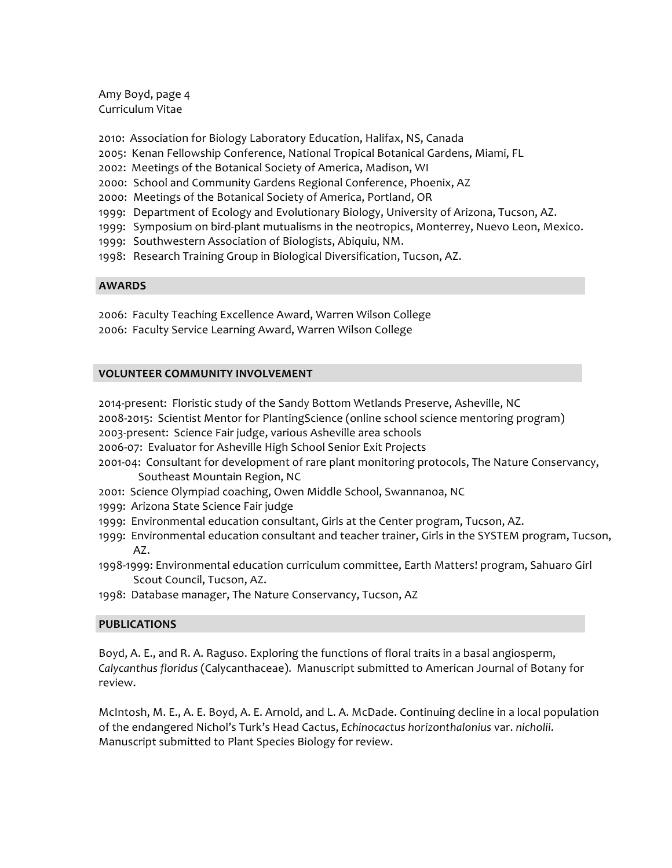Amy Boyd, page 4 Curriculum Vitae

- 2010: Association for Biology Laboratory Education, Halifax, NS, Canada
- 2005: Kenan Fellowship Conference, National Tropical Botanical Gardens, Miami, FL
- 2002: Meetings of the Botanical Society of America, Madison, WI
- 2000: School and Community Gardens Regional Conference, Phoenix, AZ
- 2000: Meetings of the Botanical Society of America, Portland, OR
- 1999: Department of Ecology and Evolutionary Biology, University of Arizona, Tucson, AZ.
- 1999: Symposium on bird-plant mutualisms in the neotropics, Monterrey, Nuevo Leon, Mexico.
- 1999: Southwestern Association of Biologists, Abiquiu, NM.
- 1998: Research Training Group in Biological Diversification, Tucson, AZ.

## **AWARDS**

2006: Faculty Teaching Excellence Award, Warren Wilson College 2006: Faculty Service Learning Award, Warren Wilson College

## **VOLUNTEER COMMUNITY INVOLVEMENT**

2014-present: Floristic study of the Sandy Bottom Wetlands Preserve, Asheville, NC

2008-2015: Scientist Mentor for PlantingScience (online school science mentoring program)

2003-present: Science Fair judge, various Asheville area schools

2006-07: Evaluator for Asheville High School Senior Exit Projects

- 2001-04: Consultant for development of rare plant monitoring protocols, The Nature Conservancy, Southeast Mountain Region, NC
- 2001: Science Olympiad coaching, Owen Middle School, Swannanoa, NC
- 1999: Arizona State Science Fair judge
- 1999: Environmental education consultant, Girls at the Center program, Tucson, AZ.
- 1999: Environmental education consultant and teacher trainer, Girls in the SYSTEM program, Tucson, AZ.
- 1998-1999: Environmental education curriculum committee, Earth Matters! program, Sahuaro Girl Scout Council, Tucson, AZ.
- 1998: Database manager, The Nature Conservancy, Tucson, AZ

# **PUBLICATIONS**

Boyd, A. E., and R. A. Raguso. Exploring the functions of floral traits in a basal angiosperm, Calycanthus floridus (Calycanthaceae). Manuscript submitted to American Journal of Botany for review.

McIntosh, M. E., A. E. Boyd, A. E. Arnold, and L. A. McDade. Continuing decline in a local population of the endangered Nichol's Turk's Head Cactus, *Echinocactus horizonthalonius* var. *nicholii*. Manuscript submitted to Plant Species Biology for review.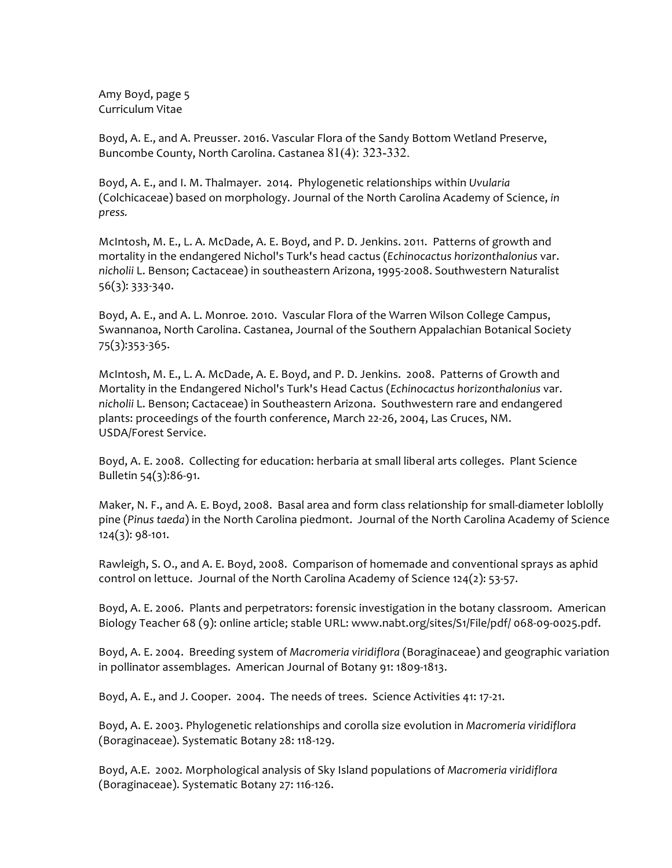Amy Boyd, page 5 Curriculum Vitae

Boyd, A. E., and A. Preusser. 2016. Vascular Flora of the Sandy Bottom Wetland Preserve, Buncombe County, North Carolina. Castanea  $81(4)$ : 323-332.

Boyd, A. E., and I. M. Thalmayer. 2014. Phylogenetic relationships within *Uvularia* (Colchicaceae) based on morphology. Journal of the North Carolina Academy of Science, in *press.*

McIntosh, M. E., L. A. McDade, A. E. Boyd, and P. D. Jenkins. 2011. Patterns of growth and mortality in the endangered Nichol's Turk's head cactus (*Echinocactus horizonthalonius var.* nicholii L. Benson; Cactaceae) in southeastern Arizona, 1995-2008. Southwestern Naturalist 56(3): 333-340. 

Boyd, A. E., and A. L. Monroe. 2010. Vascular Flora of the Warren Wilson College Campus, Swannanoa, North Carolina. Castanea, Journal of the Southern Appalachian Botanical Society 75(3):353-365.

McIntosh, M. E., L. A. McDade, A. E. Boyd, and P. D. Jenkins. 2008. Patterns of Growth and Mortality in the Endangered Nichol's Turk's Head Cactus (Echinocactus horizonthalonius var. nicholii L. Benson; Cactaceae) in Southeastern Arizona. Southwestern rare and endangered plants: proceedings of the fourth conference, March 22-26, 2004, Las Cruces, NM. USDA/Forest Service.

Boyd, A. E. 2008. Collecting for education: herbaria at small liberal arts colleges. Plant Science Bulletin 54(3):86-91.

Maker, N. F., and A. E. Boyd, 2008. Basal area and form class relationship for small-diameter loblolly pine (*Pinus taeda*) in the North Carolina piedmont. Journal of the North Carolina Academy of Science 124(3): 98-101.

Rawleigh, S. O., and A. E. Boyd, 2008. Comparison of homemade and conventional sprays as aphid control on lettuce. Journal of the North Carolina Academy of Science 124(2): 53-57.

Boyd, A. E. 2006. Plants and perpetrators: forensic investigation in the botany classroom. American Biology Teacher 68 (9): online article; stable URL: www.nabt.org/sites/S1/File/pdf/ 068-09-0025.pdf.

Boyd, A. E. 2004. Breeding system of *Macromeria viridiflora* (Boraginaceae) and geographic variation in pollinator assemblages. American Journal of Botany 91: 1809-1813.

Boyd, A. E., and J. Cooper. 2004. The needs of trees. Science Activities 41: 17-21.

Boyd, A. E. 2003. Phylogenetic relationships and corolla size evolution in *Macromeria viridiflora* (Boraginaceae). Systematic Botany 28: 118-129.

Boyd, A.E. 2002. Morphological analysis of Sky Island populations of *Macromeria viridiflora* (Boraginaceae). Systematic Botany 27: 116-126.